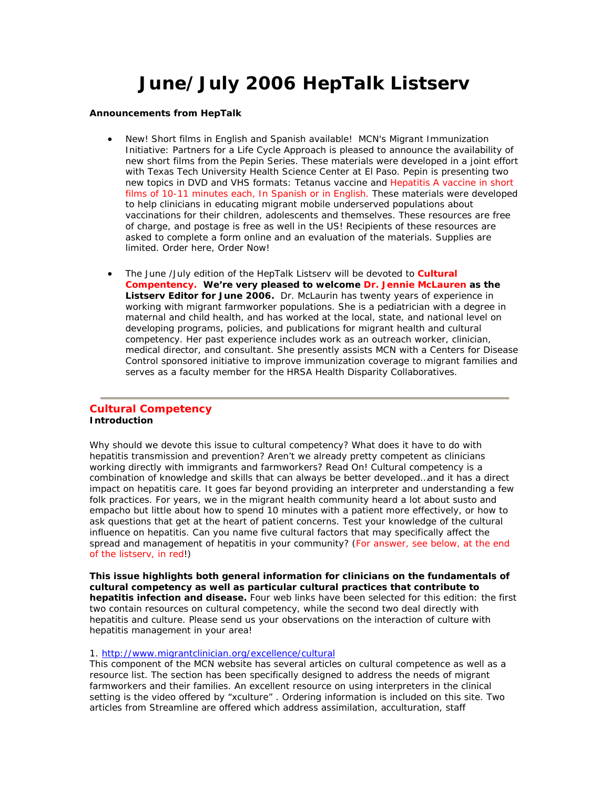# **June/July 2006 HepTalk Listserv**

#### **Announcements from HepTalk**

- New! Short films in English and Spanish available! MCN's Migrant Immunization Initiative: Partners for a Life Cycle Approach is pleased to announce the availability of new short films from the Pepin Series. These materials were developed in a joint effort with Texas Tech University Health Science Center at El Paso. Pepin is presenting two new topics in DVD and VHS formats: Tetanus vaccine and Hepatitis A vaccine in short films of 10-11 minutes each, In Spanish or in English. These materials were developed to help clinicians in educating migrant mobile underserved populations about vaccinations for their children, adolescents and themselves. These resources are free of charge, and postage is free as well in the US! Recipients of these resources are asked to complete a form online and an evaluation of the materials. Supplies are limited. Order here, Order Now!
- The June /July edition of the HepTalk Listserv will be devoted to **Cultural Compentency. We're very pleased to welcome Dr. Jennie McLauren as the Listserv Editor for June 2006.** Dr. McLaurin has twenty years of experience in working with migrant farmworker populations. She is a pediatrician with a degree in maternal and child health, and has worked at the local, state, and national level on developing programs, policies, and publications for migrant health and cultural competency. Her past experience includes work as an outreach worker, clinician, medical director, and consultant. She presently assists MCN with a Centers for Disease Control sponsored initiative to improve immunization coverage to migrant families and serves as a faculty member for the HRSA Health Disparity Collaboratives.

## **Cultural Competency Introduction**

Why should we devote this issue to cultural competency? What does it have to do with hepatitis transmission and prevention? Aren't we already pretty competent as clinicians working directly with immigrants and farmworkers? Read On! Cultural competency is a combination of knowledge and skills that can always be better developed…and it has a direct impact on hepatitis care. It goes far beyond providing an interpreter and understanding a few folk practices. For years, we in the migrant health community heard a lot about susto and empacho but little about how to spend 10 minutes with a patient more effectively, or how to ask questions that get at the heart of patient concerns. Test your knowledge of the cultural influence on hepatitis. Can you name five cultural factors that may specifically affect the spread and management of hepatitis in your community? (For answer, see below, at the end of the listserv, in red!)

**This issue highlights both general information for clinicians on the fundamentals of cultural competency as well as particular cultural practices that contribute to hepatitis infection and disease.** Four web links have been selected for this edition: the first two contain resources on cultural competency, while the second two deal directly with hepatitis and culture. Please send us your observations on the interaction of culture with hepatitis management in your area!

#### 1. http://www.migrantclinician.org/excellence/cultural

This component of the MCN website has several articles on cultural competence as well as a resource list. The section has been specifically designed to address the needs of migrant farmworkers and their families. An excellent resource on using interpreters in the clinical setting is the video offered by "xculture" . Ordering information is included on this site. Two articles from Streamline are offered which address assimilation, acculturation, staff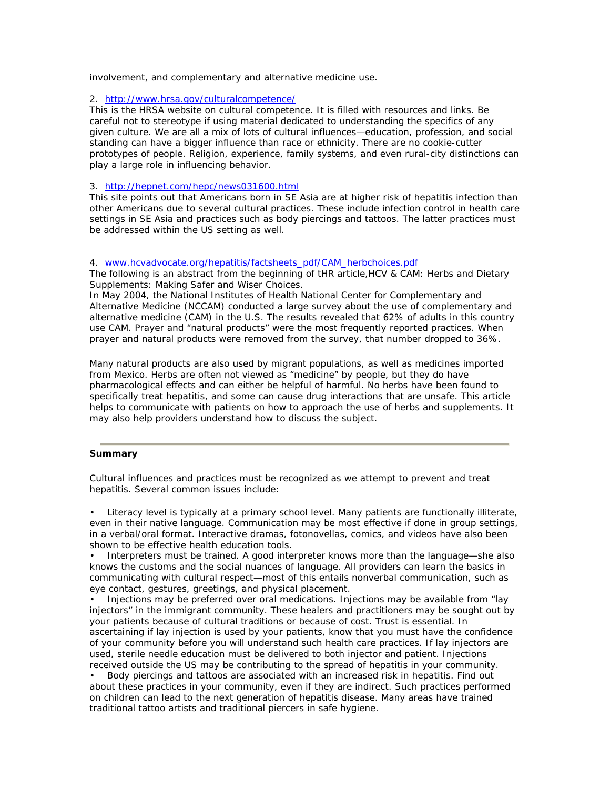involvement, and complementary and alternative medicine use.

## 2. http://www.hrsa.gov/culturalcompetence/

This is the HRSA website on cultural competence. It is filled with resources and links. Be careful not to stereotype if using material dedicated to understanding the specifics of any given culture. We are all a mix of lots of cultural influences—education, profession, and social standing can have a bigger influence than race or ethnicity. There are no cookie-cutter prototypes of people. Religion, experience, family systems, and even rural-city distinctions can play a large role in influencing behavior.

## 3. http://hepnet.com/hepc/news031600.html

This site points out that Americans born in SE Asia are at higher risk of hepatitis infection than other Americans due to several cultural practices. These include infection control in health care settings in SE Asia and practices such as body piercings and tattoos. The latter practices must be addressed within the US setting as well.

## 4. www.hcvadvocate.org/hepatitis/factsheets\_pdf/CAM\_herbchoices.pdf

The following is an abstract from the beginning of tHR article,*HCV & CAM: Herbs and Dietary Supplements: Making Safer and Wiser Choices.*

*In May 2004, the National Institutes of Health National Center for Complementary and Alternative Medicine (NCCAM) conducted a large survey about the use of complementary and alternative medicine (CAM) in the U.S. The results revealed that 62% of adults in this country use CAM. Prayer and "natural products" were the most frequently reported practices. When prayer and natural products were removed from the survey, that number dropped to 36%.*

Many natural products are also used by migrant populations, as well as medicines imported from Mexico. Herbs are often not viewed as "medicine" by people, but they do have pharmacological effects and can either be helpful of harmful. No herbs have been found to specifically treat hepatitis, and some can cause drug interactions that are unsafe. This article helps to communicate with patients on how to approach the use of herbs and supplements. It may also help providers understand how to discuss the subject.

## **Summary**

Cultural influences and practices must be recognized as we attempt to prevent and treat hepatitis. Several common issues include:

• Literacy level is typically at a primary school level. Many patients are functionally illiterate, even in their native language. Communication may be most effective if done in group settings, in a verbal/oral format. Interactive dramas, fotonovellas, comics, and videos have also been shown to be effective health education tools.

• Interpreters must be trained. A good interpreter knows more than the language—she also knows the customs and the social nuances of language. All providers can learn the basics in communicating with cultural respect—most of this entails nonverbal communication, such as eye contact, gestures, greetings, and physical placement.

• Injections may be preferred over oral medications. Injections may be available from "lay injectors" in the immigrant community. These healers and practitioners may be sought out by your patients because of cultural traditions or because of cost. Trust is essential. In ascertaining if lay injection is used by your patients, know that you must have the confidence of your community before you will understand such health care practices. If lay injectors are used, sterile needle education must be delivered to both injector and patient. Injections received outside the US may be contributing to the spread of hepatitis in your community.

• Body piercings and tattoos are associated with an increased risk in hepatitis. Find out about these practices in your community, even if they are indirect. Such practices performed on children can lead to the next generation of hepatitis disease. Many areas have trained traditional tattoo artists and traditional piercers in safe hygiene.